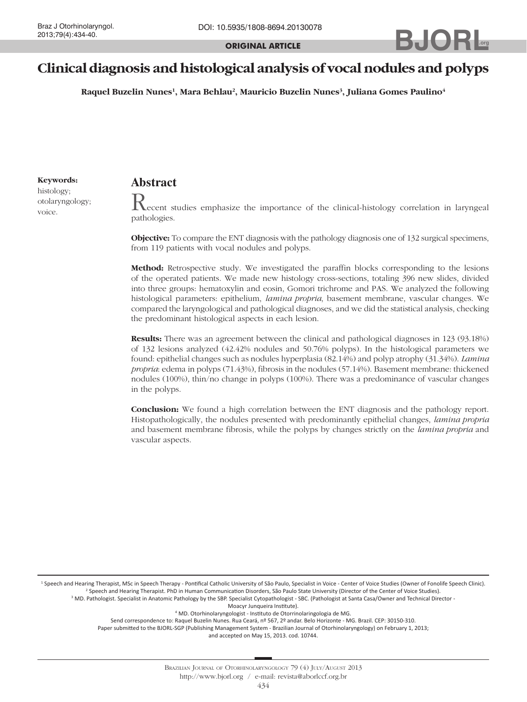**ORIGINAL ARTICLE**

## 2013;79(4):434-40. **BULLER ORIGINAL ARTICLE .org**

# **Clinical diagnosis and histological analysis of vocal nodules and polyps**

**Raquel Buzelin Nunes1 , Mara Behlau2 , Mauricio Buzelin Nunes3 , Juliana Gomes Paulino4**

**Keywords:**

histology; otolaryngology; voice.

## **Abstract**

 $\rm K$ ecent studies emphasize the importance of the clinical-histology correlation in laryngeal pathologies.

**Objective:** To compare the ENT diagnosis with the pathology diagnosis one of 132 surgical specimens, from 119 patients with vocal nodules and polyps.

**Method:** Retrospective study. We investigated the paraffin blocks corresponding to the lesions of the operated patients. We made new histology cross-sections, totaling 396 new slides, divided into three groups: hematoxylin and eosin, Gomori trichrome and PAS. We analyzed the following histological parameters: epithelium, *lamina propria*, basement membrane, vascular changes. We compared the laryngological and pathological diagnoses, and we did the statistical analysis, checking the predominant histological aspects in each lesion.

**Results:** There was an agreement between the clinical and pathological diagnoses in 123 (93.18%) of 132 lesions analyzed (42.42% nodules and 50.76% polyps). In the histological parameters we found: epithelial changes such as nodules hyperplasia (82.14%) and polyp atrophy (31.34%). *Lamina propria*: edema in polyps (71.43%), fibrosis in the nodules (57.14%). Basement membrane: thickened nodules (100%), thin/no change in polyps (100%). There was a predominance of vascular changes in the polyps.

**Conclusion:** We found a high correlation between the ENT diagnosis and the pathology report. Histopathologically, the nodules presented with predominantly epithelial changes, *lamina propria* and basement membrane fibrosis, while the polyps by changes strictly on the *lamina propria* and vascular aspects.

<sup>1</sup> Speech and Hearing Therapist, MSc in Speech Therapy - Pontifical Catholic University of São Paulo, Specialist in Voice - Center of Voice Studies (Owner of Fonolife Speech Clinic). 2 Speech and Hearing Therapist. PhD in Human Communication Disorders, São Paulo State University (Director of the Center of Voice Studies).

<sup>3</sup> MD. Pathologist. Specialist in Anatomic Pathology by the SBP. Specialist Cytopathologist - SBC. (Pathologist at Santa Casa/Owner and Technical Director -

Moacyr Junqueira Institute).

4 MD. Otorhinolaryngologist - Instituto de Otorrinolaringologia de MG.

Send correspondence to: Raquel Buzelin Nunes. Rua Ceará, nº 567, 2º andar. Belo Horizonte - MG. Brazil. CEP: 30150-310. Paper submitted to the BJORL-SGP (Publishing Management System - Brazilian Journal of Otorhinolaryngology) on February 1, 2013;

and accepted on May 15, 2013. cod. 10744.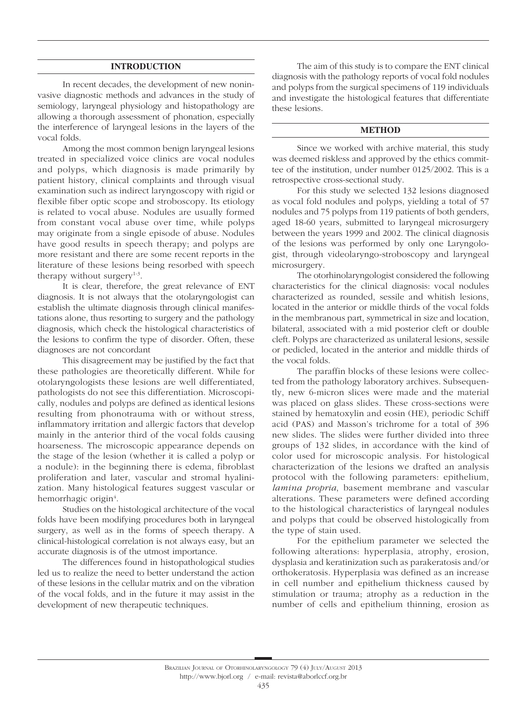## **INTRODUCTION**

In recent decades, the development of new noninvasive diagnostic methods and advances in the study of semiology, laryngeal physiology and histopathology are allowing a thorough assessment of phonation, especially the interference of laryngeal lesions in the layers of the vocal folds.

Among the most common benign laryngeal lesions treated in specialized voice clinics are vocal nodules and polyps, which diagnosis is made primarily by patient history, clinical complaints and through visual examination such as indirect laryngoscopy with rigid or flexible fiber optic scope and stroboscopy. Its etiology is related to vocal abuse. Nodules are usually formed from constant vocal abuse over time, while polyps may originate from a single episode of abuse. Nodules have good results in speech therapy; and polyps are more resistant and there are some recent reports in the literature of these lesions being resorbed with speech therapy without surgery $1-3$ .

It is clear, therefore, the great relevance of ENT diagnosis. It is not always that the otolaryngologist can establish the ultimate diagnosis through clinical manifestations alone, thus resorting to surgery and the pathology diagnosis, which check the histological characteristics of the lesions to confirm the type of disorder. Often, these diagnoses are not concordant

This disagreement may be justified by the fact that these pathologies are theoretically different. While for otolaryngologists these lesions are well differentiated, pathologists do not see this differentiation. Microscopically, nodules and polyps are defined as identical lesions resulting from phonotrauma with or without stress, inflammatory irritation and allergic factors that develop mainly in the anterior third of the vocal folds causing hoarseness. The microscopic appearance depends on the stage of the lesion (whether it is called a polyp or a nodule): in the beginning there is edema, fibroblast proliferation and later, vascular and stromal hyalinization. Many histological features suggest vascular or hemorrhagic origin<sup>4</sup>.

Studies on the histological architecture of the vocal folds have been modifying procedures both in laryngeal surgery, as well as in the forms of speech therapy. A clinical-histological correlation is not always easy, but an accurate diagnosis is of the utmost importance.

The differences found in histopathological studies led us to realize the need to better understand the action of these lesions in the cellular matrix and on the vibration of the vocal folds, and in the future it may assist in the development of new therapeutic techniques.

The aim of this study is to compare the ENT clinical diagnosis with the pathology reports of vocal fold nodules and polyps from the surgical specimens of 119 individuals and investigate the histological features that differentiate these lesions.

## **METHOD**

Since we worked with archive material, this study was deemed riskless and approved by the ethics committee of the institution, under number 0125/2002. This is a retrospective cross-sectional study.

For this study we selected 132 lesions diagnosed as vocal fold nodules and polyps, yielding a total of 57 nodules and 75 polyps from 119 patients of both genders, aged 18-60 years, submitted to laryngeal microsurgery between the years 1999 and 2002. The clinical diagnosis of the lesions was performed by only one Laryngologist, through videolaryngo-stroboscopy and laryngeal microsurgery.

The otorhinolaryngologist considered the following characteristics for the clinical diagnosis: vocal nodules characterized as rounded, sessile and whitish lesions, located in the anterior or middle thirds of the vocal folds in the membranous part, symmetrical in size and location, bilateral, associated with a mid posterior cleft or double cleft. Polyps are characterized as unilateral lesions, sessile or pedicled, located in the anterior and middle thirds of the vocal folds.

The paraffin blocks of these lesions were collected from the pathology laboratory archives. Subsequently, new 6-micron slices were made and the material was placed on glass slides. These cross-sections were stained by hematoxylin and eosin (HE), periodic Schiff acid (PAS) and Masson's trichrome for a total of 396 new slides. The slides were further divided into three groups of 132 slides, in accordance with the kind of color used for microscopic analysis. For histological characterization of the lesions we drafted an analysis protocol with the following parameters: epithelium, *lamina propria*, basement membrane and vascular alterations. These parameters were defined according to the histological characteristics of laryngeal nodules and polyps that could be observed histologically from the type of stain used.

For the epithelium parameter we selected the following alterations: hyperplasia, atrophy, erosion, dysplasia and keratinization such as parakeratosis and/or orthokeratosis. Hyperplasia was defined as an increase in cell number and epithelium thickness caused by stimulation or trauma; atrophy as a reduction in the number of cells and epithelium thinning, erosion as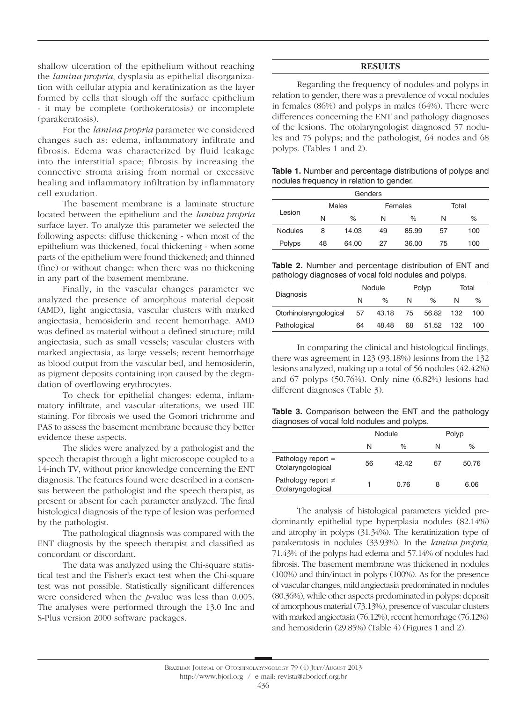shallow ulceration of the epithelium without reaching the *lamina propria*, dysplasia as epithelial disorganization with cellular atypia and keratinization as the layer formed by cells that slough off the surface epithelium - it may be complete (orthokeratosis) or incomplete (parakeratosis).

For the *lamina propria* parameter we considered changes such as: edema, inflammatory infiltrate and fibrosis. Edema was characterized by fluid leakage into the interstitial space; fibrosis by increasing the connective stroma arising from normal or excessive healing and inflammatory infiltration by inflammatory cell exudation.

The basement membrane is a laminate structure located between the epithelium and the *lamina propria* surface layer. To analyze this parameter we selected the following aspects: diffuse thickening - when most of the epithelium was thickened, focal thickening - when some parts of the epithelium were found thickened; and thinned (fine) or without change: when there was no thickening in any part of the basement membrane.

Finally, in the vascular changes parameter we analyzed the presence of amorphous material deposit (AMD), light angiectasia, vascular clusters with marked angiectasia, hemosiderin and recent hemorrhage. AMD was defined as material without a defined structure; mild angiectasia, such as small vessels; vascular clusters with marked angiectasia, as large vessels; recent hemorrhage as blood output from the vascular bed, and hemosiderin, as pigment deposits containing iron caused by the degradation of overflowing erythrocytes.

To check for epithelial changes: edema, inflammatory infiltrate, and vascular alterations, we used HE staining. For fibrosis we used the Gomori trichrome and PAS to assess the basement membrane because they better evidence these aspects.

The slides were analyzed by a pathologist and the speech therapist through a light microscope coupled to a 14-inch TV, without prior knowledge concerning the ENT diagnosis. The features found were described in a consensus between the pathologist and the speech therapist, as present or absent for each parameter analyzed. The final histological diagnosis of the type of lesion was performed by the pathologist.

The pathological diagnosis was compared with the ENT diagnosis by the speech therapist and classified as concordant or discordant.

The data was analyzed using the Chi-square statistical test and the Fisher's exact test when the Chi-square test was not possible. Statistically significant differences were considered when the *p*-value was less than 0.005. The analyses were performed through the 13.0 Inc and S-Plus version 2000 software packages.

### **RESULTS**

Regarding the frequency of nodules and polyps in relation to gender, there was a prevalence of vocal nodules in females (86%) and polyps in males (64%). There were differences concerning the ENT and pathology diagnoses of the lesions. The otolaryngologist diagnosed 57 nodules and 75 polyps; and the pathologist, 64 nodes and 68 polyps. (Tables 1 and 2).

**Table 1.** Number and percentage distributions of polyps and nodules frequency in relation to gender.

| Genders        |       |       |    |         |       |     |  |
|----------------|-------|-------|----|---------|-------|-----|--|
| Lesion         | Males |       |    | Females | Total |     |  |
|                | N     | $\%$  | N  | %       | N     | ℅   |  |
| <b>Nodules</b> | 8     | 14.03 | 49 | 85.99   | 57    | 100 |  |
| Polyps         | 48    | 64.00 | 27 | 36.00   | 75    | 100 |  |

**Table 2.** Number and percentage distribution of ENT and pathology diagnoses of vocal fold nodules and polyps.

|                        | Nodule |       | Polyp |       | Total |      |
|------------------------|--------|-------|-------|-------|-------|------|
| Diagnosis              | N      | %     | N     | %     | N     | $\%$ |
| Otorhinolaryngological | 57     | 43.18 | 75    | 56.82 | 132   | 100  |
| Pathological           | 64     | 48.48 | 68    | 51.52 | 132   | 100  |

In comparing the clinical and histological findings, there was agreement in 123 (93.18%) lesions from the 132 lesions analyzed, making up a total of 56 nodules (42.42%) and 67 polyps (50.76%). Only nine (6.82%) lesions had different diagnoses (Table 3).

|  | Table 3. Comparison between the ENT and the pathology |  |  |  |  |
|--|-------------------------------------------------------|--|--|--|--|
|  | diagnoses of vocal fold nodules and polyps.           |  |  |  |  |

| ຼ                                            |        |       |    |       |  |  |
|----------------------------------------------|--------|-------|----|-------|--|--|
|                                              | Nodule |       |    | Polyp |  |  |
|                                              | N      | $\%$  | N  | %     |  |  |
| Pathology report $=$<br>Otolaryngological    | 56     | 42.42 | 67 | 50.76 |  |  |
| Pathology report $\neq$<br>Otolaryngological |        | 0.76  | 8  | 6.06  |  |  |

The analysis of histological parameters yielded predominantly epithelial type hyperplasia nodules (82.14%) and atrophy in polyps (31.34%). The keratinization type of parakeratosis in nodules (33.93%). In the *lamina propria*, 71.43% of the polyps had edema and 57.14% of nodules had fibrosis. The basement membrane was thickened in nodules (100%) and thin/intact in polyps (100%). As for the presence of vascular changes, mild angiectasia predominated in nodules (80.36%), while other aspects predominated in polyps: deposit of amorphous material (73.13%), presence of vascular clusters with marked angiectasia (76.12%), recent hemorrhage (76.12%) and hemosiderin (29.85%) (Table 4) (Figures 1 and 2).

http://www.bjorl.org / e-mail: revista@aborlccf.org.br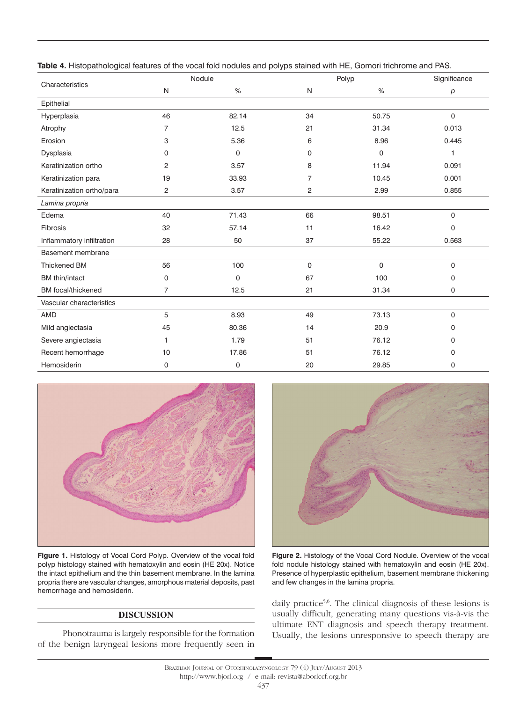|                           |                | Nodule |                | Polyp        | Significance |
|---------------------------|----------------|--------|----------------|--------------|--------------|
| Characteristics           | N              | %      | N              | $\%$         | p            |
| Epithelial                |                |        |                |              |              |
| Hyperplasia               | 46             | 82.14  | 34             | 50.75        | $\Omega$     |
| Atrophy                   | $\overline{7}$ | 12.5   | 21             | 31.34        | 0.013        |
| Erosion                   | 3              | 5.36   | 6              | 8.96         | 0.445        |
| Dysplasia                 | 0              | 0      | 0              | $\mathbf{0}$ | 1            |
| Keratinization ortho      | 2              | 3.57   | 8              | 11.94        | 0.091        |
| Keratinization para       | 19             | 33.93  | $\overline{7}$ | 10.45        | 0.001        |
| Keratinization ortho/para | 2              | 3.57   | $\overline{c}$ | 2.99         | 0.855        |
| Lamina propria            |                |        |                |              |              |
| Edema                     | 40             | 71.43  | 66             | 98.51        | $\Omega$     |
| Fibrosis                  | 32             | 57.14  | 11             | 16.42        | $\Omega$     |
| Inflammatory infiltration | 28             | 50     | 37             | 55.22        | 0.563        |
| Basement membrane         |                |        |                |              |              |
| <b>Thickened BM</b>       | 56             | 100    | $\mathsf{O}$   | $\mathbf{0}$ | $\mathbf 0$  |
| <b>BM</b> thin/intact     | 0              | 0      | 67             | 100          | 0            |
| <b>BM</b> focal/thickened | $\overline{7}$ | 12.5   | 21             | 31.34        | 0            |
| Vascular characteristics  |                |        |                |              |              |
| <b>AMD</b>                | 5              | 8.93   | 49             | 73.13        | $\mathbf 0$  |
| Mild angiectasia          | 45             | 80.36  | 14             | 20.9         | 0            |
| Severe angiectasia        | 1              | 1.79   | 51             | 76.12        | 0            |
| Recent hemorrhage         | 10             | 17.86  | 51             | 76.12        | 0            |
| Hemosiderin               | 0              | 0      | 20             | 29.85        | $\Omega$     |

**Table 4.** Histopathological features of the vocal fold nodules and polyps stained with HE, Gomori trichrome and PAS.



**Figure 1.** Histology of Vocal Cord Polyp. Overview of the vocal fold polyp histology stained with hematoxylin and eosin (HE 20x). Notice the intact epithelium and the thin basement membrane. In the lamina propria there are vascular changes, amorphous material deposits, past hemorrhage and hemosiderin.

## **DISCUSSION**

Phonotrauma is largely responsible for the formation of the benign laryngeal lesions more frequently seen in



**Figure 2.** Histology of the Vocal Cord Nodule. Overview of the vocal fold nodule histology stained with hematoxylin and eosin (HE 20x). Presence of hyperplastic epithelium, basement membrane thickening and few changes in the lamina propria.

daily practice<sup>5,6</sup>. The clinical diagnosis of these lesions is usually difficult, generating many questions vis-à-vis the ultimate ENT diagnosis and speech therapy treatment. Usually, the lesions unresponsive to speech therapy are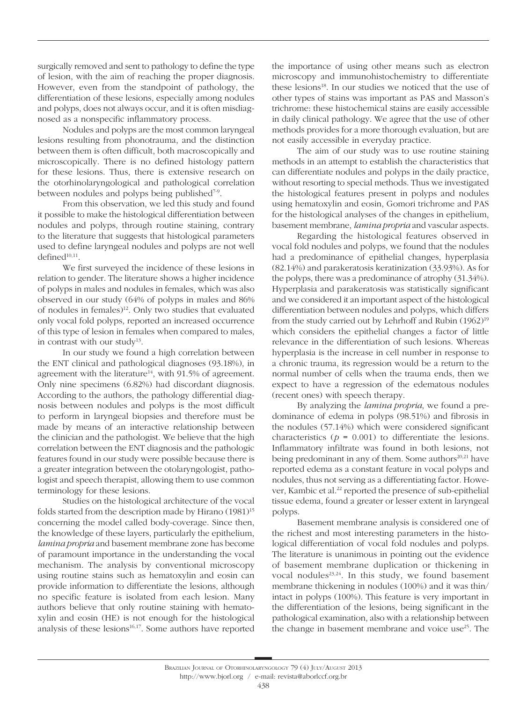surgically removed and sent to pathology to define the type of lesion, with the aim of reaching the proper diagnosis. However, even from the standpoint of pathology, the differentiation of these lesions, especially among nodules and polyps, does not always occur, and it is often misdiagnosed as a nonspecific inflammatory process.

Nodules and polyps are the most common laryngeal lesions resulting from phonotrauma, and the distinction between them is often difficult, both macroscopically and microscopically. There is no defined histology pattern for these lesions. Thus, there is extensive research on the otorhinolaryngological and pathological correlation between nodules and polyps being published<sup>7-9</sup>.

From this observation, we led this study and found it possible to make the histological differentiation between nodules and polyps, through routine staining, contrary to the literature that suggests that histological parameters used to define laryngeal nodules and polyps are not well  $defined<sup>10,11</sup>$ .

We first surveyed the incidence of these lesions in relation to gender. The literature shows a higher incidence of polyps in males and nodules in females, which was also observed in our study (64% of polyps in males and 86% of nodules in females)12. Only two studies that evaluated only vocal fold polyps, reported an increased occurrence of this type of lesion in females when compared to males, in contrast with our study<sup>13</sup>.

In our study we found a high correlation between the ENT clinical and pathological diagnoses (93.18%), in agreement with the literature<sup>14</sup>, with 91.5% of agreement. Only nine specimens (6.82%) had discordant diagnosis. According to the authors, the pathology differential diagnosis between nodules and polyps is the most difficult to perform in laryngeal biopsies and therefore must be made by means of an interactive relationship between the clinician and the pathologist. We believe that the high correlation between the ENT diagnosis and the pathologic features found in our study were possible because there is a greater integration between the otolaryngologist, pathologist and speech therapist, allowing them to use common terminology for these lesions.

Studies on the histological architecture of the vocal folds started from the description made by Hirano  $(1981)^{15}$ concerning the model called body-coverage. Since then, the knowledge of these layers, particularly the epithelium, *lamina propria* and basement membrane zone has become of paramount importance in the understanding the vocal mechanism. The analysis by conventional microscopy using routine stains such as hematoxylin and eosin can provide information to differentiate the lesions, although no specific feature is isolated from each lesion. Many authors believe that only routine staining with hematoxylin and eosin (HE) is not enough for the histological analysis of these lesions<sup>16,17</sup>. Some authors have reported

the importance of using other means such as electron microscopy and immunohistochemistry to differentiate these lesions<sup>18</sup>. In our studies we noticed that the use of other types of stains was important as PAS and Masson's trichrome: these histochemical stains are easily accessible in daily clinical pathology. We agree that the use of other methods provides for a more thorough evaluation, but are not easily accessible in everyday practice.

The aim of our study was to use routine staining methods in an attempt to establish the characteristics that can differentiate nodules and polyps in the daily practice, without resorting to special methods. Thus we investigated the histological features present in polyps and nodules using hematoxylin and eosin, Gomori trichrome and PAS for the histological analyses of the changes in epithelium, basement membrane, *lamina propria* and vascular aspects.

Regarding the histological features observed in vocal fold nodules and polyps, we found that the nodules had a predominance of epithelial changes, hyperplasia (82.14%) and parakeratosis keratinization (33.93%). As for the polyps, there was a predominance of atrophy (31.34%). Hyperplasia and parakeratosis was statistically significant and we considered it an important aspect of the histological differentiation between nodules and polyps, which differs from the study carried out by Lehrhoff and Rubin (1962)<sup>19</sup> which considers the epithelial changes a factor of little relevance in the differentiation of such lesions. Whereas hyperplasia is the increase in cell number in response to a chronic trauma, its regression would be a return to the normal number of cells when the trauma ends, then we expect to have a regression of the edematous nodules (recent ones) with speech therapy.

By analyzing the *lamina propria*, we found a predominance of edema in polyps (98.51%) and fibrosis in the nodules (57.14%) which were considered significant characteristics ( $p = 0.001$ ) to differentiate the lesions. Inflammatory infiltrate was found in both lesions, not being predominant in any of them. Some authors $20,21$  have reported edema as a constant feature in vocal polyps and nodules, thus not serving as a differentiating factor. However, Kambic et al.<sup>22</sup> reported the presence of sub-epithelial tissue edema, found a greater or lesser extent in laryngeal polyps.

Basement membrane analysis is considered one of the richest and most interesting parameters in the histological differentiation of vocal fold nodules and polyps. The literature is unanimous in pointing out the evidence of basement membrane duplication or thickening in vocal nodules<sup>23,24</sup>. In this study, we found basement membrane thickening in nodules (100%) and it was thin/ intact in polyps (100%). This feature is very important in the differentiation of the lesions, being significant in the pathological examination, also with a relationship between the change in basement membrane and voice use<sup>25</sup>. The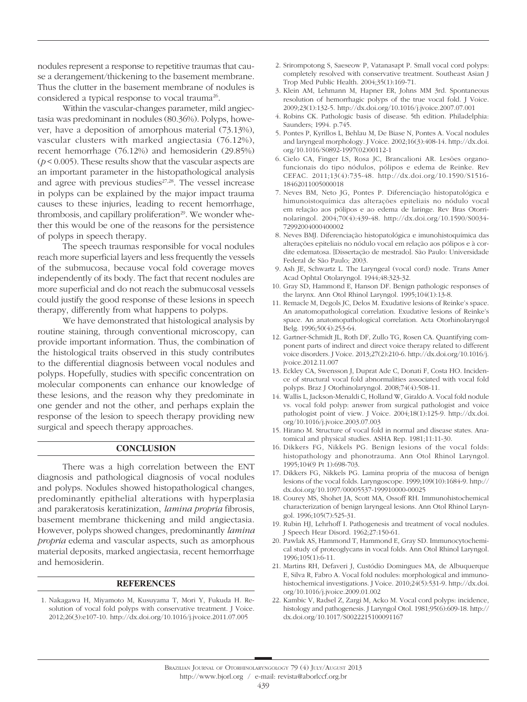nodules represent a response to repetitive traumas that cause a derangement/thickening to the basement membrane. Thus the clutter in the basement membrane of nodules is considered a typical response to vocal trauma<sup>26</sup>.

Within the vascular-changes parameter, mild angiectasia was predominant in nodules (80.36%). Polyps, however, have a deposition of amorphous material (73.13%), vascular clusters with marked angiectasia (76.12%), recent hemorrhage (76.12%) and hemosiderin (29.85%)  $(p < 0.005)$ . These results show that the vascular aspects are an important parameter in the histopathological analysis and agree with previous studies<sup>27,28</sup>. The vessel increase in polyps can be explained by the major impact trauma causes to these injuries, leading to recent hemorrhage, thrombosis, and capillary proliferation<sup>29</sup>. We wonder whether this would be one of the reasons for the persistence of polyps in speech therapy.

The speech traumas responsible for vocal nodules reach more superficial layers and less frequently the vessels of the submucosa, because vocal fold coverage moves independently of its body. The fact that recent nodules are more superficial and do not reach the submucosal vessels could justify the good response of these lesions in speech therapy, differently from what happens to polyps.

We have demonstrated that histological analysis by routine staining, through conventional microscopy, can provide important information. Thus, the combination of the histological traits observed in this study contributes to the differential diagnosis between vocal nodules and polyps. Hopefully, studies with specific concentration on molecular components can enhance our knowledge of these lesions, and the reason why they predominate in one gender and not the other, and perhaps explain the response of the lesion to speech therapy providing new surgical and speech therapy approaches.

### **CONCLUSION**

There was a high correlation between the ENT diagnosis and pathological diagnosis of vocal nodules and polyps. Nodules showed histopathological changes, predominantly epithelial alterations with hyperplasia and parakeratosis keratinization, *lamina propria* fibrosis, basement membrane thickening and mild angiectasia. However, polyps showed changes, predominantly *lamina propria* edema and vascular aspects, such as amorphous material deposits, marked angiectasia, recent hemorrhage and hemosiderin.

### **REFERENCES**

1. Nakagawa H, Miyamoto M, Kusuyama T, Mori Y, Fukuda H. Resolution of vocal fold polyps with conservative treatment. J Voice. 2012;26(3):e107-10. http://dx.doi.org/10.1016/j.jvoice.2011.07.005

- 2. Srirompotong S, Saeseow P, Vatanasapt P. Small vocal cord polyps: completely resolved with conservative treatment. Southeast Asian J Trop Med Public Health. 2004;35(1):169-71.
- 3. Klein AM, Lehmann M, Hapner ER, Johns MM 3rd. Spontaneous resolution of hemorrhagic polyps of the true vocal fold. J Voice. 2009;23(1):132-5. http://dx.doi.org/10.1016/j.jvoice.2007.07.001
- 4. Robins CK. Pathologic basis of disease. 5th edition. Philadelphia: Saunders; 1994. p.745.
- 5. Pontes P, Kyrillos L, Behlau M, De Biase N, Pontes A. Vocal nodules and laryngeal morphology. J Voice. 2002;16(3):408-14. http://dx.doi. org/10.1016/S0892-1997(02)00112-1
- 6. Cielo CA, Finger LS, Rosa JC, Brancalioni AR. Lesões organofuncionais do tipo nódulos, pólipos e edema de Reinke. Rev CEFAC. 2011;13(4):735-48. http://dx.doi.org/10.1590/S1516- 18462011005000018
- 7. Neves BM, Neto JG, Pontes P. Diferenciação histopatológica e himunoistoquímica das alterações epiteliais no nódulo vocal em relação aos pólipos e ao edema de laringe. Rev Bras Otorrinolaringol. 2004;70(4):439-48. http://dx.doi.org/10.1590/S0034- 72992004000400002
- 8. Neves BMJ. Diferenciação histopatológica e imunohistoquímica das alterações epiteliais no nódulo vocal em relação aos pólipos e à cordite edematosa. [Dissertação de mestrado]. São Paulo: Universidade Federal de São Paulo; 2003.
- 9. Ash JE, Schwartz L. The Laryngeal (vocal cord) node. Trans Amer Acad Ophtal Otolaryngol. 1944;48:323-32.
- 10. Gray SD, Hammond E, Hanson DF. Benign pathologic responses of the larynx. Ann Otol Rhinol Laryngol. 1995;104(1):13-8.
- 11. Remacle M, Degols JC, Delos M. Exudative lesions of Reinke's space. An anatomopathological correlation. Exudative lesions of Reinke's space. An anatomopathological correlation. Acta Otorhinolaryngol Belg. 1996;50(4):253-64.
- 12. Gartner-Schmidt JL, Roth DF, Zullo TG, Rosen CA. Quantifying component parts of indirect and direct voice therapy related to different voice disorders. J Voice. 2013;27(2):210-6. http://dx.doi.org/10.1016/j. jvoice.2012.11.007
- 13. Eckley CA, Swensson J, Duprat Ade C, Donati F, Costa HO. Incidence of structural vocal fold abnormalities associated with vocal fold polyps. Braz J Otorhinolaryngol. 2008;74(4):508-11.
- 14. Wallis L, Jackson-Menaldi C, Holland W, Giraldo A. Vocal fold nodule vs. vocal fold polyp: answer from surgical pathologist and voice pathologist point of view. J Voice. 2004;18(1):125-9. http://dx.doi. org/10.1016/j.jvoice.2003.07.003
- 15. Hirano M. Structure of vocal fold in normal and disease states. Anatomical and physical studies. ASHA Rep. 1981;11:11-30.
- 16. Dikkers FG, Nikkels PG. Benign lesions of the vocal folds: histopathology and phonotrauma. Ann Otol Rhinol Laryngol. 1995;104(9 Pt 1):698-703.
- 17. Dikkers FG, Nikkels PG. Lamina propria of the mucosa of benign lesions of the vocal folds. Laryngoscope. 1999;109(10):1684-9. http:// dx.doi.org/10.1097/00005537-199910000-00025
- 18. Courey MS, Shohet JA, Scott MA, Ossoff RH. Immunohistochemical characterization of benign laryngeal lesions. Ann Otol Rhinol Laryngol. 1996;105(7):525-31.
- 19. Rubin HJ, Lehrhoff I. Pathogenesis and treatment of vocal nodules. J Speech Hear Disord. 1962;27:150-61.
- 20. Pawlak AS, Hammond T, Hammond E, Gray SD. Immunocytochemical study of proteoglycans in vocal folds. Ann Otol Rhinol Laryngol. 1996;105(1):6-11.
- 21. Martins RH, Defaveri J, Custódio Domingues MA, de Albuquerque E, Silva R, Fabro A. Vocal fold nodules: morphological and immunohistochemical investigations. J Voice. 2010;24(5):531-9. http://dx.doi. org/10.1016/j.jvoice.2009.01.002
- 22. Kambic V, Radsel Z, Zargi M, Acko M. Vocal cord polyps: incidence, histology and pathogenesis. J Laryngol Otol. 1981;95(6):609-18. http:// dx.doi.org/10.1017/S0022215100091167

#### Brazilian Journal of Otorhinolaryngology 79 (4) July/August 2013

#### http://www.bjorl.org / e-mail: revista@aborlccf.org.br